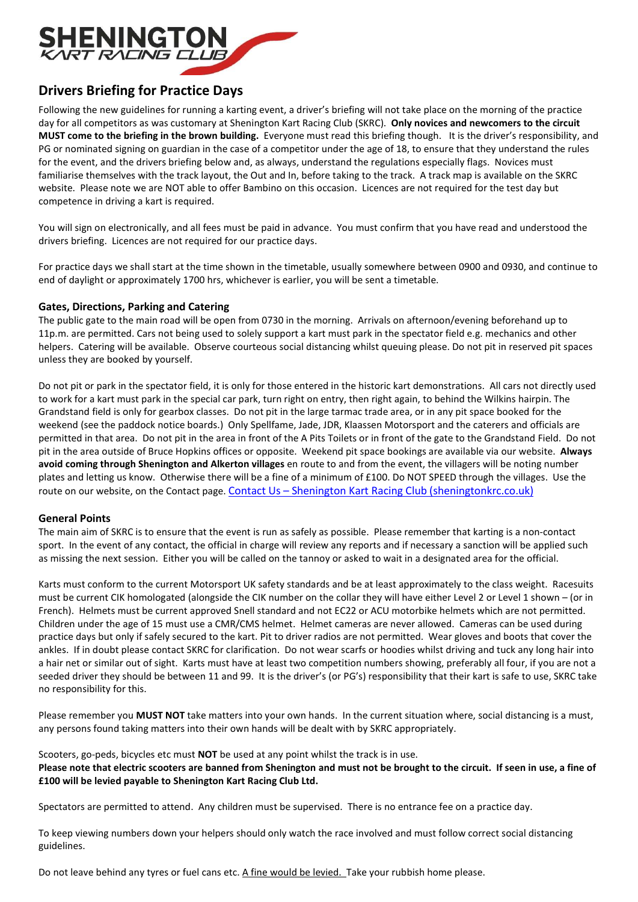

# Drivers Briefing for Practice Days

Following the new guidelines for running a karting event, a driver's briefing will not take place on the morning of the practice day for all competitors as was customary at Shenington Kart Racing Club (SKRC). Only novices and newcomers to the circuit MUST come to the briefing in the brown building. Everyone must read this briefing though. It is the driver's responsibility, and PG or nominated signing on guardian in the case of a competitor under the age of 18, to ensure that they understand the rules for the event, and the drivers briefing below and, as always, understand the regulations especially flags. Novices must familiarise themselves with the track layout, the Out and In, before taking to the track. A track map is available on the SKRC website. Please note we are NOT able to offer Bambino on this occasion. Licences are not required for the test day but competence in driving a kart is required.

You will sign on electronically, and all fees must be paid in advance. You must confirm that you have read and understood the drivers briefing. Licences are not required for our practice days.

For practice days we shall start at the time shown in the timetable, usually somewhere between 0900 and 0930, and continue to end of daylight or approximately 1700 hrs, whichever is earlier, you will be sent a timetable.

## Gates, Directions, Parking and Catering

The public gate to the main road will be open from 0730 in the morning. Arrivals on afternoon/evening beforehand up to 11p.m. are permitted. Cars not being used to solely support a kart must park in the spectator field e.g. mechanics and other helpers. Catering will be available. Observe courteous social distancing whilst queuing please. Do not pit in reserved pit spaces unless they are booked by yourself.

Do not pit or park in the spectator field, it is only for those entered in the historic kart demonstrations. All cars not directly used to work for a kart must park in the special car park, turn right on entry, then right again, to behind the Wilkins hairpin. The Grandstand field is only for gearbox classes. Do not pit in the large tarmac trade area, or in any pit space booked for the weekend (see the paddock notice boards.) Only Spellfame, Jade, JDR, Klaassen Motorsport and the caterers and officials are permitted in that area. Do not pit in the area in front of the A Pits Toilets or in front of the gate to the Grandstand Field. Do not pit in the area outside of Bruce Hopkins offices or opposite. Weekend pit space bookings are available via our website. Always avoid coming through Shenington and Alkerton villages en route to and from the event, the villagers will be noting number plates and letting us know. Otherwise there will be a fine of a minimum of £100. Do NOT SPEED through the villages. Use the route on our website, on the Contact page. Contact Us - Shenington Kart Racing Club (sheningtonkrc.co.uk)

## General Points

The main aim of SKRC is to ensure that the event is run as safely as possible. Please remember that karting is a non-contact sport. In the event of any contact, the official in charge will review any reports and if necessary a sanction will be applied such as missing the next session. Either you will be called on the tannoy or asked to wait in a designated area for the official.

Karts must conform to the current Motorsport UK safety standards and be at least approximately to the class weight. Racesuits must be current CIK homologated (alongside the CIK number on the collar they will have either Level 2 or Level 1 shown – (or in French). Helmets must be current approved Snell standard and not EC22 or ACU motorbike helmets which are not permitted. Children under the age of 15 must use a CMR/CMS helmet. Helmet cameras are never allowed. Cameras can be used during practice days but only if safely secured to the kart. Pit to driver radios are not permitted. Wear gloves and boots that cover the ankles. If in doubt please contact SKRC for clarification. Do not wear scarfs or hoodies whilst driving and tuck any long hair into a hair net or similar out of sight. Karts must have at least two competition numbers showing, preferably all four, if you are not a seeded driver they should be between 11 and 99. It is the driver's (or PG's) responsibility that their kart is safe to use, SKRC take no responsibility for this.

Please remember you **MUST NOT** take matters into your own hands. In the current situation where, social distancing is a must, any persons found taking matters into their own hands will be dealt with by SKRC appropriately.

Scooters, go-peds, bicycles etc must **NOT** be used at any point whilst the track is in use. Please note that electric scooters are banned from Shenington and must not be brought to the circuit. If seen in use, a fine of £100 will be levied payable to Shenington Kart Racing Club Ltd.

Spectators are permitted to attend. Any children must be supervised. There is no entrance fee on a practice day.

To keep viewing numbers down your helpers should only watch the race involved and must follow correct social distancing guidelines.

Do not leave behind any tyres or fuel cans etc. A fine would be levied. Take your rubbish home please.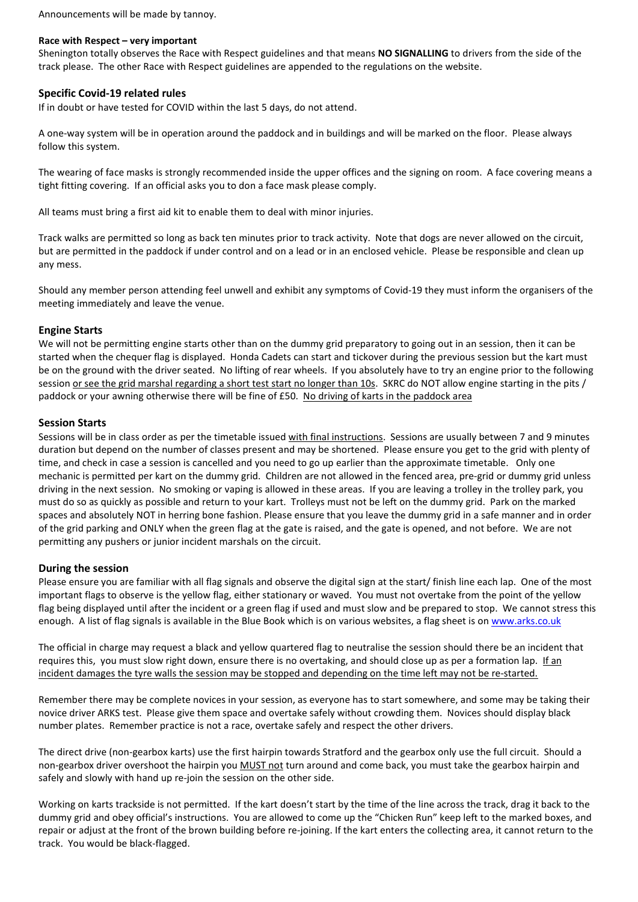Announcements will be made by tannoy.

## Race with Respect – very important

Shenington totally observes the Race with Respect guidelines and that means NO SIGNALLING to drivers from the side of the track please. The other Race with Respect guidelines are appended to the regulations on the website.

## Specific Covid-19 related rules

If in doubt or have tested for COVID within the last 5 days, do not attend.

A one-way system will be in operation around the paddock and in buildings and will be marked on the floor. Please always follow this system.

The wearing of face masks is strongly recommended inside the upper offices and the signing on room. A face covering means a tight fitting covering. If an official asks you to don a face mask please comply.

All teams must bring a first aid kit to enable them to deal with minor injuries.

Track walks are permitted so long as back ten minutes prior to track activity. Note that dogs are never allowed on the circuit, but are permitted in the paddock if under control and on a lead or in an enclosed vehicle. Please be responsible and clean up any mess.

Should any member person attending feel unwell and exhibit any symptoms of Covid-19 they must inform the organisers of the meeting immediately and leave the venue.

## Engine Starts

We will not be permitting engine starts other than on the dummy grid preparatory to going out in an session, then it can be started when the chequer flag is displayed. Honda Cadets can start and tickover during the previous session but the kart must be on the ground with the driver seated. No lifting of rear wheels. If you absolutely have to try an engine prior to the following session or see the grid marshal regarding a short test start no longer than 10s. SKRC do NOT allow engine starting in the pits / paddock or your awning otherwise there will be fine of £50. No driving of karts in the paddock area

## Session Starts

Sessions will be in class order as per the timetable issued with final instructions. Sessions are usually between 7 and 9 minutes duration but depend on the number of classes present and may be shortened. Please ensure you get to the grid with plenty of time, and check in case a session is cancelled and you need to go up earlier than the approximate timetable. Only one mechanic is permitted per kart on the dummy grid. Children are not allowed in the fenced area, pre-grid or dummy grid unless driving in the next session. No smoking or vaping is allowed in these areas. If you are leaving a trolley in the trolley park, you must do so as quickly as possible and return to your kart. Trolleys must not be left on the dummy grid. Park on the marked spaces and absolutely NOT in herring bone fashion. Please ensure that you leave the dummy grid in a safe manner and in order of the grid parking and ONLY when the green flag at the gate is raised, and the gate is opened, and not before. We are not permitting any pushers or junior incident marshals on the circuit.

## During the session

Please ensure you are familiar with all flag signals and observe the digital sign at the start/ finish line each lap. One of the most important flags to observe is the yellow flag, either stationary or waved. You must not overtake from the point of the yellow flag being displayed until after the incident or a green flag if used and must slow and be prepared to stop. We cannot stress this enough. A list of flag signals is available in the Blue Book which is on various websites, a flag sheet is on www.arks.co.uk

The official in charge may request a black and yellow quartered flag to neutralise the session should there be an incident that requires this, you must slow right down, ensure there is no overtaking, and should close up as per a formation lap. If an incident damages the tyre walls the session may be stopped and depending on the time left may not be re-started.

Remember there may be complete novices in your session, as everyone has to start somewhere, and some may be taking their novice driver ARKS test. Please give them space and overtake safely without crowding them. Novices should display black number plates. Remember practice is not a race, overtake safely and respect the other drivers.

The direct drive (non-gearbox karts) use the first hairpin towards Stratford and the gearbox only use the full circuit. Should a non-gearbox driver overshoot the hairpin you MUST not turn around and come back, you must take the gearbox hairpin and safely and slowly with hand up re-join the session on the other side.

Working on karts trackside is not permitted. If the kart doesn't start by the time of the line across the track, drag it back to the dummy grid and obey official's instructions. You are allowed to come up the "Chicken Run" keep left to the marked boxes, and repair or adjust at the front of the brown building before re-joining. If the kart enters the collecting area, it cannot return to the track. You would be black-flagged.